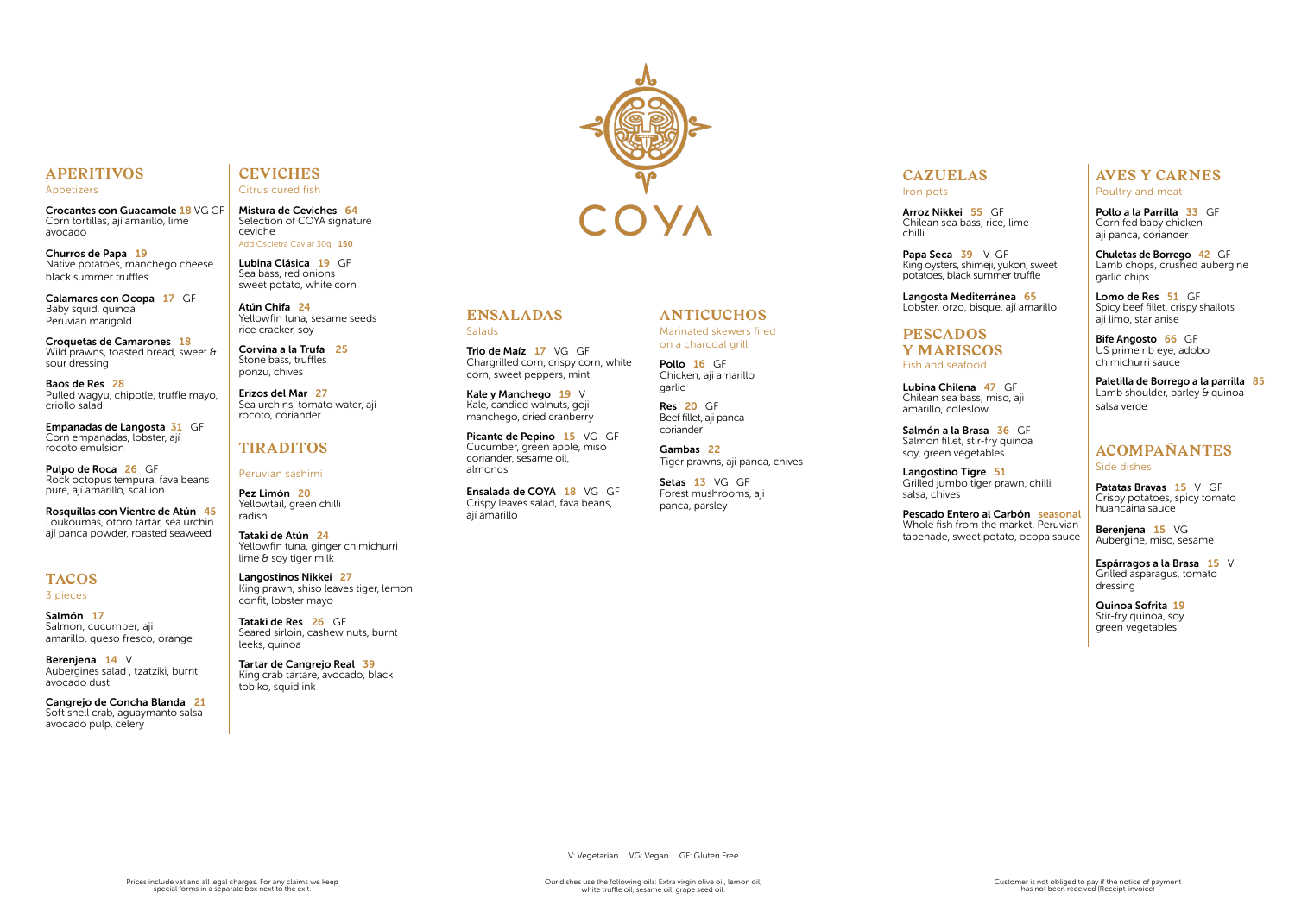## **APERITIVOS**

Appetizers

**Crocantes con Guacamole 18** VG GF Corn tortillas, ají amarillo, lime avocado

Churros de Papa 19 Native potatoes, manchego cheese black summer truffles

Calamares con Ocopa 17 GF Baby squid, quinoa Peruvian marigold

Empanadas de Langosta 31 GF Corn empanadas, lobster, ají rocoto emulsion

Croquetas de Camarones 18 Wild prawns, toasted bread, sweet & sour dressing

Salmón 17<br>Salmon, cucumber, aji amarillo, queso fresco, orange

Baos de Res 28 Pulled wagyu, chipotle, truffle mayo, criollo salad

Pulpo de Roca 26 GF Rock octopus tempura, fava beans pure, ají amarillo, scallion

Rosquillas con Vientre de Atún 45 Loukoumas, otoro tartar, sea urchin ají panca powder, roasted seaweed

## **TACOS**

3 pieces

Berenjena 14 V Aubergines salad , tzatziki, burnt avocado dust

Tartar de Cangrejo Real 39<br>King crab tartare, avocado, black tobiko, squid ink



Cangrejo de Concha Blanda 21 Soft shell crab, aguaymanto salsa avocado pulp, celery

Papa Seca 39 V GF King oysters, shimeji, yukon, sweet potatoes, black summer truffle

### **CEVICHES** Citrus cured fish

Mistura de Ceviches 64 Selection of COYA signature ceviche Add Oscietra Caviar 30g 150

> Salmón a la Brasa 36 GF Salmon fillet, stir-fry quinoa soy, green vegetables

Lubina Clásica 19 GF Sea bass, red onions sweet potato, white corn

> Langostino Tigre 51 Grilled jumbo tiger prawn, chilli salsa, chives

Atún Chifa 24 Yellowfin tuna, sesame seeds rice cracker, soy

Pollo a la Parrilla 33 GF Corn fed baby chicken aji panca, coriander

Corvina a la Trufa 25 Stone bass, truffles ponzu, chives

Lomo de Res 51 GF Spicy beef fillet, crispy shallots aji limo, star anise

Erizos del Mar 27 Sea urchins, tomato water, ají rocoto, coriander

Bife Angosto 66 GF US prime rib eye, adobo chimichurri sauce

## **TIRADITOS**

### Peruvian sashimi

Paletilla de Borrego a la parrilla 85<br>Lamb shoulder, barley & quinoa salsa verde

Pez Limón 20 Yellowtail, green chilli radish

Patatas Bravas 15 V GF Crispy potatoes, spicy tomato huancaina sauce

Bereniena 15 VG Aubergine, miso, sesame

Tataki de Atún 24 Yellowfin tuna, ginger chimichurri lime & soy tiger milk

Espárragos a la Brasa 15 V Grilled asparagus, tomato dressing

Langostinos Nikkei 27 King prawn, shiso leaves tiger, lemon confit, lobster mayo

Tataki de Res 26 GF Seared sirloin, cashew nuts, burnt leeks, quinoa

Picante de Pepino 15 VG GF Cucumber, green apple, miso

Ensalada de COYA 18 VG GF Crispy leaves salad, fava beans,

**Salads** 

Pollo 16 GF Chicken, aji amarillo garlic

## **CAZUELAS** Iron pots

Arroz Nikkei 55 GF Chilean sea bass, rice, lime

Setas 13 VG GF Forest mushrooms, aji panca, parsley

chilli

Langosta Mediterránea 65 Lobster, orzo, bisque, ají amarillo

## **PESCADOS Y MARISCOS** Fish and seafood

Lubina Chilena 47 GF Chilean sea bass, miso, aji

amarillo, coleslow

Pescado Entero al Carbón seasonal Whole fish from the market, Peruvian tapenade, sweet potato, ocopa sauce

## **AVES Y CARNES** Poultry and meat

Chuletas de Borrego 42 GF Lamb chops, crushed aubergine garlic chips

## **ACOMPAÑANTES**

Side dishes

Quinoa Sofrita 19 Stir-fry quinoa, soy green vegetables

**ENSALADAS**

Trio de Maíz 17 VG GF

Chargrilled corn, crispy corn, white

corn, sweet peppers, mint Kale y Manchego 19 V Kale, candied walnuts, goji manchego, dried cranberry

coriander, sesame oil,

almonds

ají amarillo

## **ANTICUCHOS**

Marinated skewers fired on a charcoal grill

Res 20 GF Beef fillet, aji panca coriander

Gambas 22 Tiger prawns, aji panca, chives